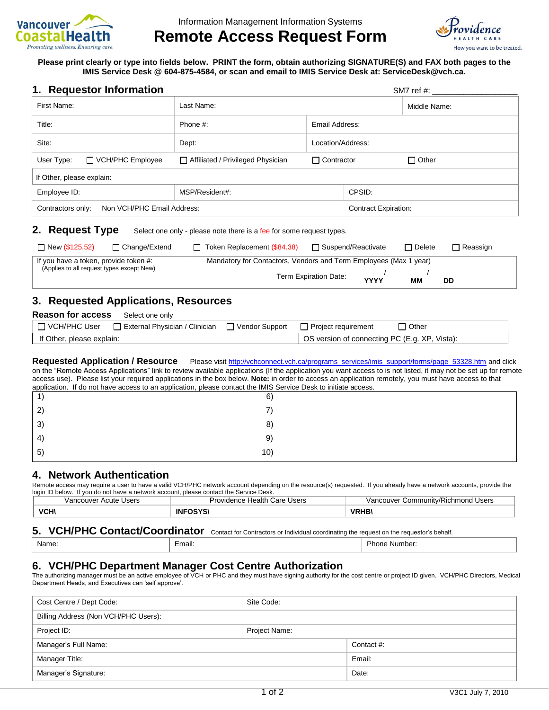

# **Remote Access Request Form**



**Please print clearly or type into fields below. PRINT the form, obtain authorizing SIGNATURE(S) and FAX both pages to the IMIS Service Desk @ 604-875-4584, or scan and email to IMIS Service Desk at: ServiceDesk@vch.ca.**

| 1. Requestor Information | SM7 ref #: |
|--------------------------|------------|
|--------------------------|------------|

| First Name:                                     |                         | Last Name:                          |                             | Middle Name: |              |
|-------------------------------------------------|-------------------------|-------------------------------------|-----------------------------|--------------|--------------|
| Title:                                          |                         | Phone #:<br>Email Address:          |                             |              |              |
| Site:                                           |                         | Dept:                               | Location/Address:           |              |              |
| User Type:                                      | $\Box$ VCH/PHC Employee | □ Affiliated / Privileged Physician | $\Box$ Contractor           |              | $\Box$ Other |
| If Other, please explain:                       |                         |                                     |                             |              |              |
| Employee ID:                                    |                         | MSP/Resident#:                      |                             | CPSID:       |              |
| Non VCH/PHC Email Address:<br>Contractors only: |                         |                                     | <b>Contract Expiration:</b> |              |              |
|                                                 |                         |                                     |                             |              |              |

#### **2. Request Type** Select one only - please note there is a fee for some request types.

| $\Box$ New (\$125.52)                                                              | □ Change/Extend | □ Token Replacement (\$84.38)                                     | $\Box$ Suspend/Reactivate |             | □ Delete | $\Box$ Reassign |
|------------------------------------------------------------------------------------|-----------------|-------------------------------------------------------------------|---------------------------|-------------|----------|-----------------|
| If you have a token, provide token #:<br>(Applies to all request types except New) |                 | Mandatory for Contactors, Vendors and Term Employees (Max 1 year) |                           |             |          |                 |
|                                                                                    |                 |                                                                   | Term Expiration Date:     | <b>YYYY</b> | MМ       | DD              |

## **3. Requested Applications, Resources**

| <b>Reason for access</b>  | Select one only                |                                               |                                        |              |
|---------------------------|--------------------------------|-----------------------------------------------|----------------------------------------|--------------|
|                           | External Physician / Clinician |                                               | □ Vendor Support □ Project requirement | $\Box$ Other |
| If Other, please explain: |                                | OS version of connecting PC (E.g. XP, Vista): |                                        |              |

**Requested Application / Resource** Please visit [http://vchconnect.vch.ca/programs\\_services/imis\\_support/forms/page\\_53328.htm](http://vchconnect.vch.ca/programs_services/imis_support/forms/page_53328.htm) and click on the "Remote Access Applications" link to review available applications (If the application you want access to is not listed, it may not be set up for remote access use). Please list your required applications in the box below. **Note:** in order to access an application remotely, you must have access to that application. If do not have access to an application, please contact the IMIS Service Desk to initiate access.

| approacher. If as not have above to an approacher, produce contact the firms sensite begin to immate above to. |  |
|----------------------------------------------------------------------------------------------------------------|--|
| 6)                                                                                                             |  |
| $\mathbf{2}^{\prime}$                                                                                          |  |
| $\mathbf{3}$<br>8)                                                                                             |  |
| 9)<br>$\left( 4 \right)$                                                                                       |  |
| 10)<br>$5^{\circ}$                                                                                             |  |

#### **4. Network Authentication**

Remote access may require a user to have a valid VCH/PHC network account depending on the resource(s) requested. If you already have a network accounts, provide the login ID below. If you do not have a network account, please contact the Service Desk.

| Users<br>uve<br>$\Delta$ $\sim$<br>√ancri<br>.cute | Users<br>Care<br>Health<br>$1 - 1$<br>$\sim$ | ' Users<br>$\sim$<br>IVAI<br>Community/Ric<br>ንከm<br>ionc<br>- נ<br>าเ |
|----------------------------------------------------|----------------------------------------------|------------------------------------------------------------------------|
| VCM<br>ייש<br>___                                  | <br>INI                                      | ---                                                                    |

### **5. VCH/PHC Contact/Coordinator** Contact for Contractors or Individual coordinating the request on the requestor's behalf.

| . .<br>mail.<br>N١٤<br>ame | imnar<br>$\Delta \mathbf{P}$<br>י טעוי |
|----------------------------|----------------------------------------|
|----------------------------|----------------------------------------|

### **6. VCH/PHC Department Manager Cost Centre Authorization**

The authorizing manager must be an active employee of VCH or PHC and they must have signing authority for the cost centre or project ID given. VCH/PHC Directors, Medical Department Heads, and Executives can 'self approve'.

| Cost Centre / Dept Code:             | Site Code:    |            |
|--------------------------------------|---------------|------------|
| Billing Address (Non VCH/PHC Users): |               |            |
| Project ID:                          | Project Name: |            |
| Manager's Full Name:                 |               | Contact #: |
| Manager Title:                       |               | Email:     |
| Manager's Signature:                 |               | Date:      |